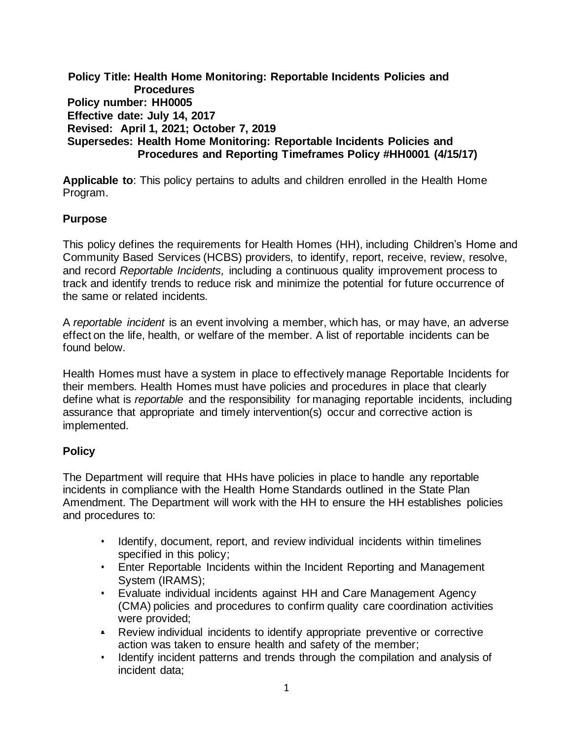**Policy Title: Health Home Monitoring: Reportable Incidents Policies and Procedures Policy number: HH0005 Effective date: July 14, 2017 Revised: April 1, 2021; October 7, 2019 Supersedes: Health Home Monitoring: Reportable Incidents Policies and Procedures and Reporting Timeframes Policy #HH0001 (4/15/17)**

**Applicable to**: This policy pertains to adults and children enrolled in the Health Home Program.

## **Purpose**

This policy defines the requirements for Health Homes (HH), including Children's Home and Community Based Services (HCBS) providers, to identify, report, receive, review, resolve, and record *Reportable Incidents,* including a continuous quality improvement process to track and identify trends to reduce risk and minimize the potential for future occurrence of the same or related incidents.

A *reportable incident* is an event involving a member, which has, or may have, an adverse effect on the life, health, or welfare of the member. A list of reportable incidents can be found below.

Health Homes must have a system in place to effectively manage Reportable Incidents for their members. Health Homes must have policies and procedures in place that clearly define what is *reportable* and the responsibility for managing reportable incidents, including assurance that appropriate and timely intervention(s) occur and corrective action is implemented.

## **Policy**

The Department will require that HHs have policies in place to handle any reportable incidents in compliance with the Health Home Standards outlined in the State Plan Amendment. The Department will work with the HH to ensure the HH establishes policies and procedures to:

- Identify, document, report, and review individual incidents within timelines specified in this policy;
- Enter Reportable Incidents within the Incident Reporting and Management System (IRAMS);
- Evaluate individual incidents against HH and Care Management Agency (CMA) policies and procedures to confirm quality care coordination activities were provided;
- Review individual incidents to identify appropriate preventive or corrective action was taken to ensure health and safety of the member;
- Identify incident patterns and trends through the compilation and analysis of incident data;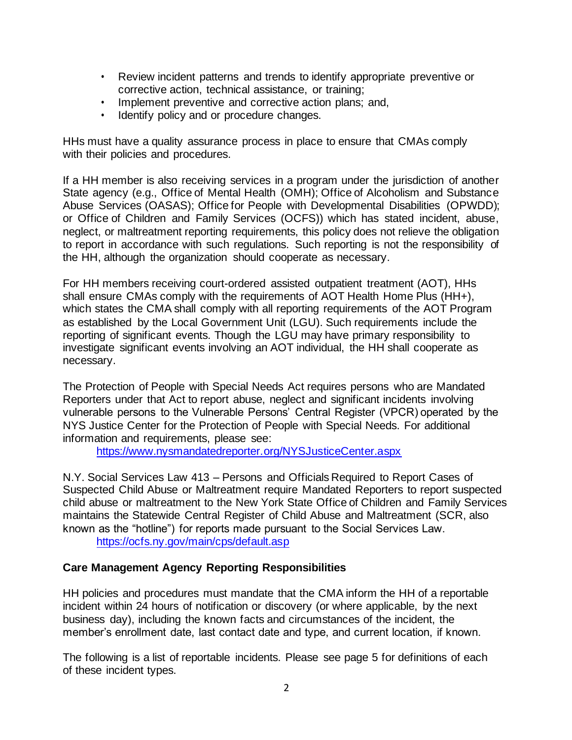- Review incident patterns and trends to identify appropriate preventive or corrective action, technical assistance, or training;
- Implement preventive and corrective action plans; and,
- Identify policy and or procedure changes.

HHs must have a quality assurance process in place to ensure that CMAs comply with their policies and procedures.

If a HH member is also receiving services in a program under the jurisdiction of another State agency (e.g., Office of Mental Health (OMH); Office of Alcoholism and Substance Abuse Services (OASAS); Office for People with Developmental Disabilities (OPWDD); or Office of Children and Family Services (OCFS)) which has stated incident, abuse, neglect, or maltreatment reporting requirements, this policy does not relieve the obligation to report in accordance with such regulations. Such reporting is not the responsibility of the HH, although the organization should cooperate as necessary.

For HH members receiving court-ordered assisted outpatient treatment (AOT), HHs shall ensure CMAs comply with the requirements of AOT Health Home Plus (HH+), which states the CMA shall comply with all reporting requirements of the AOT Program as established by the Local Government Unit (LGU). Such requirements include the reporting of significant events. Though the LGU may have primary responsibility to investigate significant events involving an AOT individual, the HH shall cooperate as necessary.

The Protection of People with Special Needs Act requires persons who are Mandated Reporters under that Act to report abuse, neglect and significant incidents involving vulnerable persons to the Vulnerable Persons' Central Register (VPCR) operated by the NYS Justice Center for the Protection of People with Special Needs. For additional information and requirements, please see:

<https://www.nysmandatedreporter.org/NYSJusticeCenter.aspx>

N.Y. Social Services Law 413 – Persons and Officials Required to Report Cases of Suspected Child Abuse or Maltreatment require Mandated Reporters to report suspected child abuse or maltreatment to the New York State Office of Children and Family Services maintains the Statewide Central Register of Child Abuse and Maltreatment (SCR, also known as the "hotline") for reports made pursuant to the Social Services Law. <https://ocfs.ny.gov/main/cps/default.asp>

## **Care Management Agency Reporting Responsibilities**

HH policies and procedures must mandate that the CMA inform the HH of a reportable incident within 24 hours of notification or discovery (or where applicable, by the next business day), including the known facts and circumstances of the incident, the member's enrollment date, last contact date and type, and current location, if known.

The following is a list of reportable incidents. Please see page 5 for definitions of each of these incident types.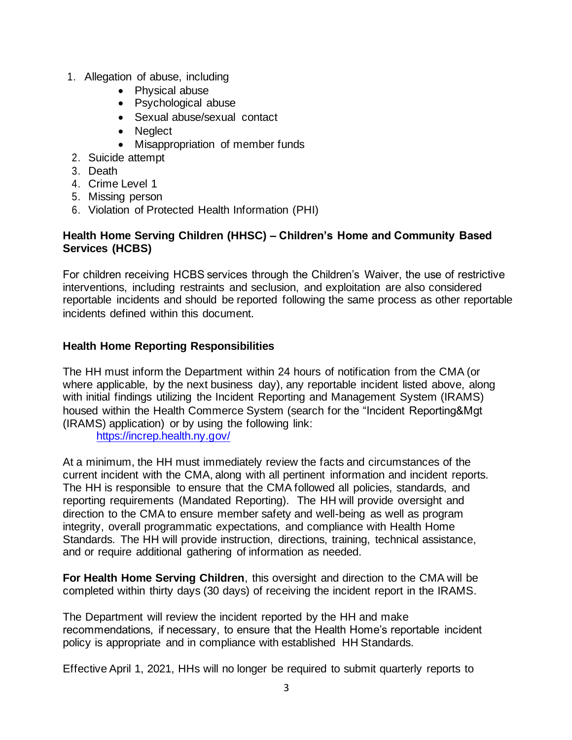- 1. Allegation of abuse, including
	- Physical abuse
	- Psychological abuse
	- Sexual abuse/sexual contact
	- Neglect
	- Misappropriation of member funds
- 2. Suicide attempt
- 3. Death
- 4. Crime Level 1
- 5. Missing person
- 6. Violation of Protected Health Information (PHI)

## **Health Home Serving Children (HHSC) – Children's Home and Community Based Services (HCBS)**

For children receiving HCBS services through the Children's Waiver, the use of restrictive interventions, including restraints and seclusion, and exploitation are also considered reportable incidents and should be reported following the same process as other reportable incidents defined within this document.

# **Health Home Reporting Responsibilities**

The HH must inform the Department within 24 hours of notification from the CMA (or where applicable, by the next business day), any reportable incident listed above, along with initial findings utilizing the Incident Reporting and Management System (IRAMS) housed within the Health Commerce System (search for the "Incident Reporting&Mgt (IRAMS) application) or by using the following link:

<https://increp.health.ny.gov/>

At a minimum, the HH must immediately review the facts and circumstances of the current incident with the CMA, along with all pertinent information and incident reports. The HH is responsible to ensure that the CMA followed all policies, standards, and reporting requirements (Mandated Reporting). The HH will provide oversight and direction to the CMA to ensure member safety and well-being as well as program integrity, overall programmatic expectations, and compliance with Health Home Standards. The HH will provide instruction, directions, training, technical assistance, and or require additional gathering of information as needed.

**For Health Home Serving Children**, this oversight and direction to the CMA will be completed within thirty days (30 days) of receiving the incident report in the IRAMS.

The Department will review the incident reported by the HH and make recommendations, if necessary, to ensure that the Health Home's reportable incident policy is appropriate and in compliance with established HH Standards.

Effective April 1, 2021, HHs will no longer be required to submit quarterly reports to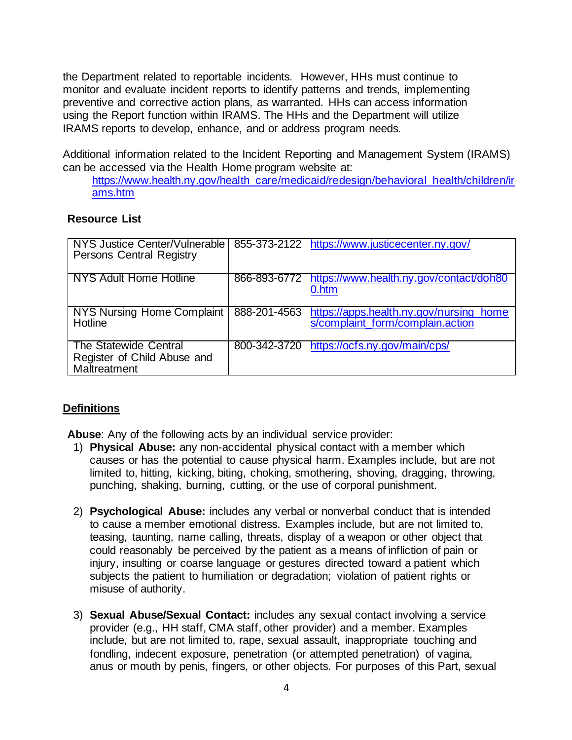the Department related to reportable incidents. However, HHs must continue to monitor and evaluate incident reports to identify patterns and trends, implementing preventive and corrective action plans, as warranted. HHs can access information using the Report function within IRAMS. The HHs and the Department will utilize IRAMS reports to develop, enhance, and or address program needs.

Additional information related to the Incident Reporting and Management System (IRAMS) can be accessed via the Health Home program website at:

[https://www.health.ny.gov/health\\_care/medicaid/redesign/behavioral\\_health/children/ir](https://www.health.ny.gov/health_care/medicaid/redesign/behavioral_health/children/irams.htm) [ams.htm](https://www.health.ny.gov/health_care/medicaid/redesign/behavioral_health/children/irams.htm)

#### **Resource List**

| NYS Justice Center/Vulnerable<br><b>Persons Central Registry</b>     |              | 855-373-2122 https://www.justicecenter.ny.gov/                              |
|----------------------------------------------------------------------|--------------|-----------------------------------------------------------------------------|
| NYS Adult Home Hotline                                               | 866-893-6772 | https://www.health.ny.gov/contact/doh80<br>0.htm                            |
| <b>NYS Nursing Home Complaint</b><br>Hotline                         | 888-201-4563 | https://apps.health.ny.gov/nursing_home<br>s/complaint_form/complain.action |
| The Statewide Central<br>Register of Child Abuse and<br>Maltreatment |              | 800-342-3720 https://ocfs.ny.gov/main/cps/                                  |

## **Definitions**

**Abuse**: Any of the following acts by an individual service provider:

- 1) **Physical Abuse:** any non-accidental physical contact with a member which causes or has the potential to cause physical harm. Examples include, but are not limited to, hitting, kicking, biting, choking, smothering, shoving, dragging, throwing, punching, shaking, burning, cutting, or the use of corporal punishment.
- 2) **Psychological Abuse:** includes any verbal or nonverbal conduct that is intended to cause a member emotional distress. Examples include, but are not limited to, teasing, taunting, name calling, threats, display of a weapon or other object that could reasonably be perceived by the patient as a means of infliction of pain or injury, insulting or coarse language or gestures directed toward a patient which subjects the patient to humiliation or degradation; violation of patient rights or misuse of authority.
- 3) **Sexual Abuse/Sexual Contact:** includes any sexual contact involving a service provider (e.g., HH staff, CMA staff, other provider) and a member. Examples include, but are not limited to, rape, sexual assault, inappropriate touching and fondling, indecent exposure, penetration (or attempted penetration) of vagina, anus or mouth by penis, fingers, or other objects. For purposes of this Part, sexual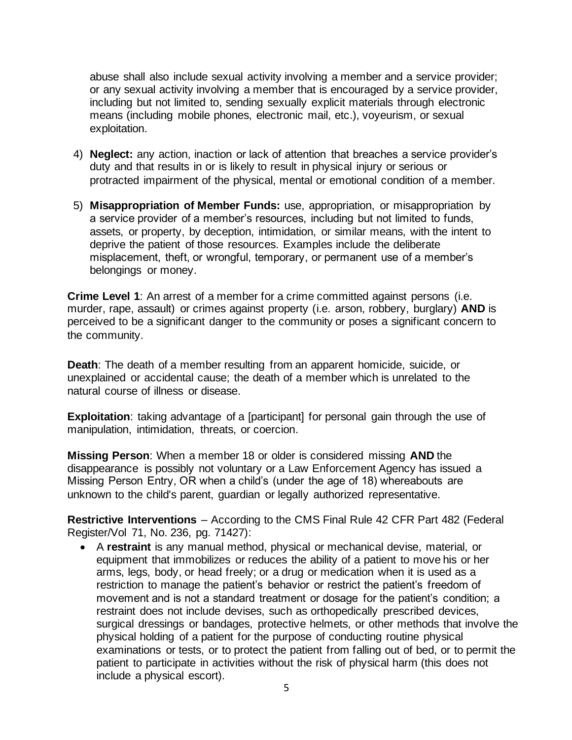abuse shall also include sexual activity involving a member and a service provider; or any sexual activity involving a member that is encouraged by a service provider, including but not limited to, sending sexually explicit materials through electronic means (including mobile phones, electronic mail, etc.), voyeurism, or sexual exploitation.

- 4) **Neglect:** any action, inaction or lack of attention that breaches a service provider's duty and that results in or is likely to result in physical injury or serious or protracted impairment of the physical, mental or emotional condition of a member.
- 5) **Misappropriation of Member Funds:** use, appropriation, or misappropriation by a service provider of a member's resources, including but not limited to funds, assets, or property, by deception, intimidation, or similar means, with the intent to deprive the patient of those resources. Examples include the deliberate misplacement, theft, or wrongful, temporary, or permanent use of a member's belongings or money.

**Crime Level 1**: An arrest of a member for a crime committed against persons (i.e. murder, rape, assault) or crimes against property (i.e. arson, robbery, burglary) **AND** is perceived to be a significant danger to the community or poses a significant concern to the community.

**Death**: The death of a member resulting from an apparent homicide, suicide, or unexplained or accidental cause; the death of a member which is unrelated to the natural course of illness or disease.

**Exploitation**: taking advantage of a [participant] for personal gain through the use of manipulation, intimidation, threats, or coercion.

**Missing Person**: When a member 18 or older is considered missing **AND** the disappearance is possibly not voluntary or a Law Enforcement Agency has issued a Missing Person Entry, OR when a child's (under the age of 18) whereabouts are unknown to the child's parent, guardian or legally authorized representative.

**Restrictive Interventions** – According to the CMS Final Rule 42 CFR Part 482 (Federal Register/Vol 71, No. 236, pg. 71427):

• A **restraint** is any manual method, physical or mechanical devise, material, or equipment that immobilizes or reduces the ability of a patient to move his or her arms, legs, body, or head freely; or a drug or medication when it is used as a restriction to manage the patient's behavior or restrict the patient's freedom of movement and is not a standard treatment or dosage for the patient's condition; a restraint does not include devises, such as orthopedically prescribed devices, surgical dressings or bandages, protective helmets, or other methods that involve the physical holding of a patient for the purpose of conducting routine physical examinations or tests, or to protect the patient from falling out of bed, or to permit the patient to participate in activities without the risk of physical harm (this does not include a physical escort).